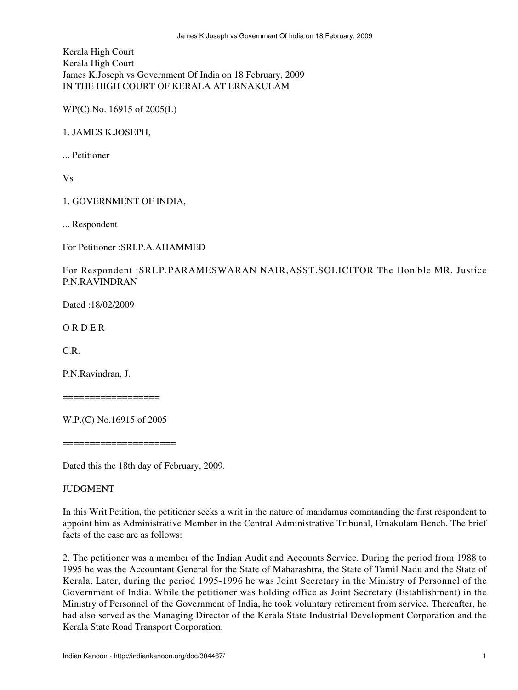Kerala High Court Kerala High Court James K.Joseph vs Government Of India on 18 February, 2009 IN THE HIGH COURT OF KERALA AT ERNAKULAM

WP(C).No. 16915 of 2005(L)

1. JAMES K.JOSEPH,

... Petitioner

Vs

1. GOVERNMENT OF INDIA,

... Respondent

For Petitioner :SRI.P.A.AHAMMED

For Respondent :SRI.P.PARAMESWARAN NAIR,ASST.SOLICITOR The Hon'ble MR. Justice P.N.RAVINDRAN

Dated :18/02/2009

O R D E R

C.R.

P.N.Ravindran, J.

==================

W.P.(C) No.16915 of 2005

======================

Dated this the 18th day of February, 2009.

**JUDGMENT** 

In this Writ Petition, the petitioner seeks a writ in the nature of mandamus commanding the first respondent to appoint him as Administrative Member in the Central Administrative Tribunal, Ernakulam Bench. The brief facts of the case are as follows:

2. The petitioner was a member of the Indian Audit and Accounts Service. During the period from 1988 to 1995 he was the Accountant General for the State of Maharashtra, the State of Tamil Nadu and the State of Kerala. Later, during the period 1995-1996 he was Joint Secretary in the Ministry of Personnel of the Government of India. While the petitioner was holding office as Joint Secretary (Establishment) in the Ministry of Personnel of the Government of India, he took voluntary retirement from service. Thereafter, he had also served as the Managing Director of the Kerala State Industrial Development Corporation and the Kerala State Road Transport Corporation.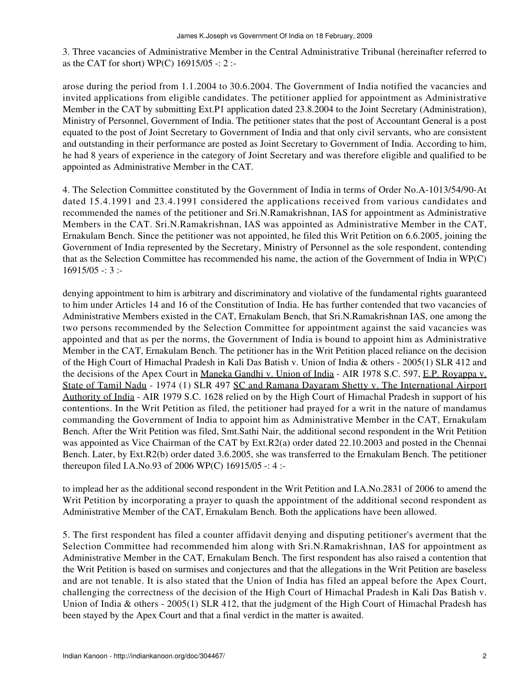3. Three vacancies of Administrative Member in the Central Administrative Tribunal (hereinafter referred to as the CAT for short) WP(C) 16915/05 -: 2 :-

arose during the period from 1.1.2004 to 30.6.2004. The Government of India notified the vacancies and invited applications from eligible candidates. The petitioner applied for appointment as Administrative Member in the CAT by submitting Ext.P1 application dated 23.8.2004 to the Joint Secretary (Administration), Ministry of Personnel, Government of India. The petitioner states that the post of Accountant General is a post equated to the post of Joint Secretary to Government of India and that only civil servants, who are consistent and outstanding in their performance are posted as Joint Secretary to Government of India. According to him, he had 8 years of experience in the category of Joint Secretary and was therefore eligible and qualified to be appointed as Administrative Member in the CAT.

4. The Selection Committee constituted by the Government of India in terms of Order No.A-1013/54/90-At dated 15.4.1991 and 23.4.1991 considered the applications received from various candidates and recommended the names of the petitioner and Sri.N.Ramakrishnan, IAS for appointment as Administrative Members in the CAT. Sri.N.Ramakrishnan, IAS was appointed as Administrative Member in the CAT, Ernakulam Bench. Since the petitioner was not appointed, he filed this Writ Petition on 6.6.2005, joining the Government of India represented by the Secretary, Ministry of Personnel as the sole respondent, contending that as the Selection Committee has recommended his name, the action of the Government of India in WP(C)  $16915/05 - 3$ :

denying appointment to him is arbitrary and discriminatory and violative of the fundamental rights guaranteed to him under Articles 14 and 16 of the Constitution of India. He has further contended that two vacancies of Administrative Members existed in the CAT, Ernakulam Bench, that Sri.N.Ramakrishnan IAS, one among the two persons recommended by the Selection Committee for appointment against the said vacancies was appointed and that as per the norms, the Government of India is bound to appoint him as Administrative Member in the CAT, Ernakulam Bench. The petitioner has in the Writ Petition placed reliance on the decision of the High Court of Himachal Pradesh in Kali Das Batish v. Union of India & others - 2005(1) SLR 412 and the decisions of the Apex Court in Maneka Gandhi v. Union of India - AIR 1978 S.C. 597, E.P. Royappa v. State of Tamil Nadu - 1974 (1) SLR 497 SC and Ramana Dayaram Shetty v. The International Airport Authority of India - AIR 1979 S.C. 1628 relied on by the High Court of Himachal Pradesh in support of his contentions. In the Writ Petition as filed, the petitioner had prayed for a writ in the nature of mandamus commanding the Government of India to appoint him as Administrative Member in the CAT, Ernakulam Bench. After the Writ Petition was filed, Smt.Sathi Nair, the additional second respondent in the Writ Petition was appointed as Vice Chairman of the CAT by Ext.R2(a) order dated 22.10.2003 and posted in the Chennai Bench. Later, by Ext.R2(b) order dated 3.6.2005, she was transferred to the Ernakulam Bench. The petitioner thereupon filed I.A.No.93 of 2006 WP(C) 16915/05 -: 4 :-

to implead her as the additional second respondent in the Writ Petition and I.A.No.2831 of 2006 to amend the Writ Petition by incorporating a prayer to quash the appointment of the additional second respondent as Administrative Member of the CAT, Ernakulam Bench. Both the applications have been allowed.

5. The first respondent has filed a counter affidavit denying and disputing petitioner's averment that the Selection Committee had recommended him along with Sri.N.Ramakrishnan, IAS for appointment as Administrative Member in the CAT, Ernakulam Bench. The first respondent has also raised a contention that the Writ Petition is based on surmises and conjectures and that the allegations in the Writ Petition are baseless and are not tenable. It is also stated that the Union of India has filed an appeal before the Apex Court, challenging the correctness of the decision of the High Court of Himachal Pradesh in Kali Das Batish v. Union of India & others - 2005(1) SLR 412, that the judgment of the High Court of Himachal Pradesh has been stayed by the Apex Court and that a final verdict in the matter is awaited.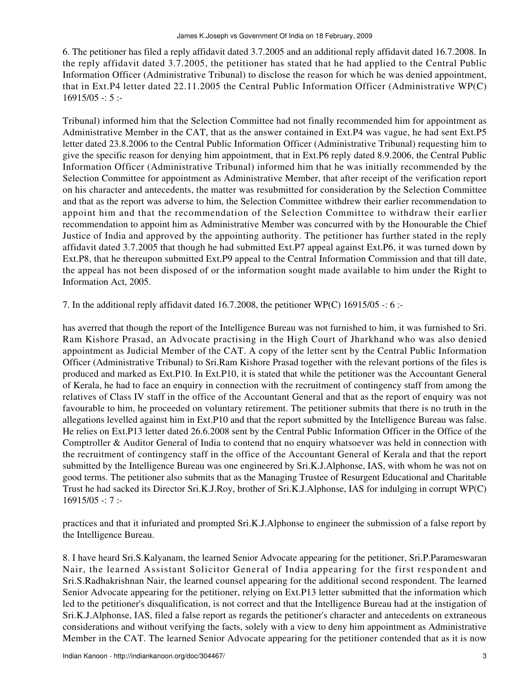6. The petitioner has filed a reply affidavit dated 3.7.2005 and an additional reply affidavit dated 16.7.2008. In the reply affidavit dated 3.7.2005, the petitioner has stated that he had applied to the Central Public Information Officer (Administrative Tribunal) to disclose the reason for which he was denied appointment, that in Ext.P4 letter dated 22.11.2005 the Central Public Information Officer (Administrative WP(C)  $16915/05 - 5$ :

Tribunal) informed him that the Selection Committee had not finally recommended him for appointment as Administrative Member in the CAT, that as the answer contained in Ext.P4 was vague, he had sent Ext.P5 letter dated 23.8.2006 to the Central Public Information Officer (Administrative Tribunal) requesting him to give the specific reason for denying him appointment, that in Ext.P6 reply dated 8.9.2006, the Central Public Information Officer (Administrative Tribunal) informed him that he was initially recommended by the Selection Committee for appointment as Administrative Member, that after receipt of the verification report on his character and antecedents, the matter was resubmitted for consideration by the Selection Committee and that as the report was adverse to him, the Selection Committee withdrew their earlier recommendation to appoint him and that the recommendation of the Selection Committee to withdraw their earlier recommendation to appoint him as Administrative Member was concurred with by the Honourable the Chief Justice of India and approved by the appointing authority. The petitioner has further stated in the reply affidavit dated 3.7.2005 that though he had submitted Ext.P7 appeal against Ext.P6, it was turned down by Ext.P8, that he thereupon submitted Ext.P9 appeal to the Central Information Commission and that till date, the appeal has not been disposed of or the information sought made available to him under the Right to Information Act, 2005.

7. In the additional reply affidavit dated 16.7.2008, the petitioner WP(C) 16915/05 -: 6 :-

has averred that though the report of the Intelligence Bureau was not furnished to him, it was furnished to Sri. Ram Kishore Prasad, an Advocate practising in the High Court of Jharkhand who was also denied appointment as Judicial Member of the CAT. A copy of the letter sent by the Central Public Information Officer (Administrative Tribunal) to Sri.Ram Kishore Prasad together with the relevant portions of the files is produced and marked as Ext.P10. In Ext.P10, it is stated that while the petitioner was the Accountant General of Kerala, he had to face an enquiry in connection with the recruitment of contingency staff from among the relatives of Class IV staff in the office of the Accountant General and that as the report of enquiry was not favourable to him, he proceeded on voluntary retirement. The petitioner submits that there is no truth in the allegations levelled against him in Ext.P10 and that the report submitted by the Intelligence Bureau was false. He relies on Ext.P13 letter dated 26.6.2008 sent by the Central Public Information Officer in the Office of the Comptroller & Auditor General of India to contend that no enquiry whatsoever was held in connection with the recruitment of contingency staff in the office of the Accountant General of Kerala and that the report submitted by the Intelligence Bureau was one engineered by Sri.K.J.Alphonse, IAS, with whom he was not on good terms. The petitioner also submits that as the Managing Trustee of Resurgent Educational and Charitable Trust he had sacked its Director Sri.K.J.Roy, brother of Sri.K.J.Alphonse, IAS for indulging in corrupt WP(C)  $16915/05 - 7$ :

practices and that it infuriated and prompted Sri.K.J.Alphonse to engineer the submission of a false report by the Intelligence Bureau.

8. I have heard Sri.S.Kalyanam, the learned Senior Advocate appearing for the petitioner, Sri.P.Parameswaran Nair, the learned Assistant Solicitor General of India appearing for the first respondent and Sri.S.Radhakrishnan Nair, the learned counsel appearing for the additional second respondent. The learned Senior Advocate appearing for the petitioner, relying on Ext.P13 letter submitted that the information which led to the petitioner's disqualification, is not correct and that the Intelligence Bureau had at the instigation of Sri.K.J.Alphonse, IAS, filed a false report as regards the petitioner's character and antecedents on extraneous considerations and without verifying the facts, solely with a view to deny him appointment as Administrative Member in the CAT. The learned Senior Advocate appearing for the petitioner contended that as it is now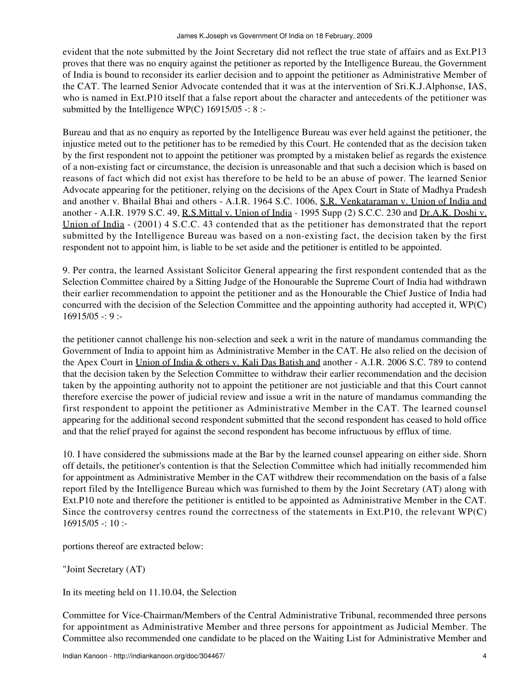evident that the note submitted by the Joint Secretary did not reflect the true state of affairs and as Ext.P13 proves that there was no enquiry against the petitioner as reported by the Intelligence Bureau, the Government of India is bound to reconsider its earlier decision and to appoint the petitioner as Administrative Member of the CAT. The learned Senior Advocate contended that it was at the intervention of Sri.K.J.Alphonse, IAS, who is named in Ext.P10 itself that a false report about the character and antecedents of the petitioner was submitted by the Intelligence WP(C)  $16915/05$  -: 8 :-

Bureau and that as no enquiry as reported by the Intelligence Bureau was ever held against the petitioner, the injustice meted out to the petitioner has to be remedied by this Court. He contended that as the decision taken by the first respondent not to appoint the petitioner was prompted by a mistaken belief as regards the existence of a non-existing fact or circumstance, the decision is unreasonable and that such a decision which is based on reasons of fact which did not exist has therefore to be held to be an abuse of power. The learned Senior Advocate appearing for the petitioner, relying on the decisions of the Apex Court in State of Madhya Pradesh and another v. Bhailal Bhai and others - A.I.R. 1964 S.C. 1006, S.R. Venkataraman v. Union of India and another - A.I.R. 1979 S.C. 49, R.S.Mittal v. Union of India - 1995 Supp (2) S.C.C. 230 and Dr.A.K. Doshi v. Union of India - (2001) 4 S.C.C. 43 contended that as the petitioner has demonstrated that the report submitted by the Intelligence Bureau was based on a non-existing fact, the decision taken by the first respondent not to appoint him, is liable to be set aside and the petitioner is entitled to be appointed.

9. Per contra, the learned Assistant Solicitor General appearing the first respondent contended that as the Selection Committee chaired by a Sitting Judge of the Honourable the Supreme Court of India had withdrawn their earlier recommendation to appoint the petitioner and as the Honourable the Chief Justice of India had concurred with the decision of the Selection Committee and the appointing authority had accepted it, WP(C)  $16915/05 -: 9:$ 

the petitioner cannot challenge his non-selection and seek a writ in the nature of mandamus commanding the Government of India to appoint him as Administrative Member in the CAT. He also relied on the decision of the Apex Court in Union of India & others v. Kali Das Batish and another - A.I.R. 2006 S.C. 789 to contend that the decision taken by the Selection Committee to withdraw their earlier recommendation and the decision taken by the appointing authority not to appoint the petitioner are not justiciable and that this Court cannot therefore exercise the power of judicial review and issue a writ in the nature of mandamus commanding the first respondent to appoint the petitioner as Administrative Member in the CAT. The learned counsel appearing for the additional second respondent submitted that the second respondent has ceased to hold office and that the relief prayed for against the second respondent has become infructuous by efflux of time.

10. I have considered the submissions made at the Bar by the learned counsel appearing on either side. Shorn off details, the petitioner's contention is that the Selection Committee which had initially recommended him for appointment as Administrative Member in the CAT withdrew their recommendation on the basis of a false report filed by the Intelligence Bureau which was furnished to them by the Joint Secretary (AT) along with Ext.P10 note and therefore the petitioner is entitled to be appointed as Administrative Member in the CAT. Since the controversy centres round the correctness of the statements in Ext.P10, the relevant WP(C)  $16915/05 - 10$ :

portions thereof are extracted below:

"Joint Secretary (AT)

In its meeting held on 11.10.04, the Selection

Committee for Vice-Chairman/Members of the Central Administrative Tribunal, recommended three persons for appointment as Administrative Member and three persons for appointment as Judicial Member. The Committee also recommended one candidate to be placed on the Waiting List for Administrative Member and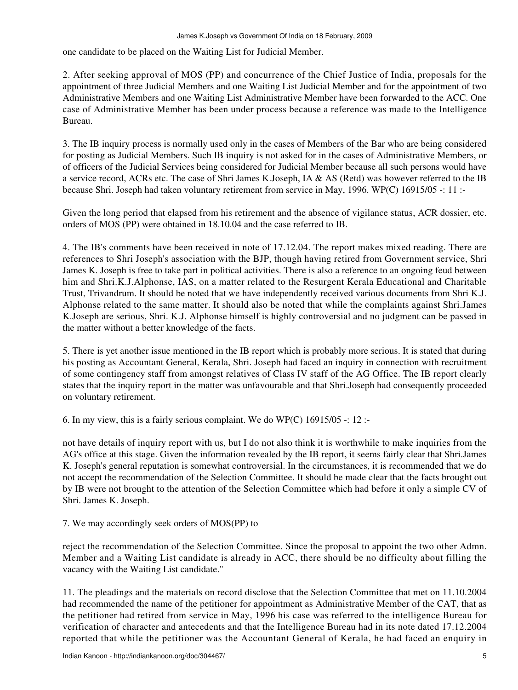one candidate to be placed on the Waiting List for Judicial Member.

2. After seeking approval of MOS (PP) and concurrence of the Chief Justice of India, proposals for the appointment of three Judicial Members and one Waiting List Judicial Member and for the appointment of two Administrative Members and one Waiting List Administrative Member have been forwarded to the ACC. One case of Administrative Member has been under process because a reference was made to the Intelligence Bureau.

3. The IB inquiry process is normally used only in the cases of Members of the Bar who are being considered for posting as Judicial Members. Such IB inquiry is not asked for in the cases of Administrative Members, or of officers of the Judicial Services being considered for Judicial Member because all such persons would have a service record, ACRs etc. The case of Shri James K.Joseph, IA & AS (Retd) was however referred to the IB because Shri. Joseph had taken voluntary retirement from service in May, 1996. WP(C) 16915/05 -: 11 :-

Given the long period that elapsed from his retirement and the absence of vigilance status, ACR dossier, etc. orders of MOS (PP) were obtained in 18.10.04 and the case referred to IB.

4. The IB's comments have been received in note of 17.12.04. The report makes mixed reading. There are references to Shri Joseph's association with the BJP, though having retired from Government service, Shri James K. Joseph is free to take part in political activities. There is also a reference to an ongoing feud between him and Shri.K.J.Alphonse, IAS, on a matter related to the Resurgent Kerala Educational and Charitable Trust, Trivandrum. It should be noted that we have independently received various documents from Shri K.J. Alphonse related to the same matter. It should also be noted that while the complaints against Shri.James K.Joseph are serious, Shri. K.J. Alphonse himself is highly controversial and no judgment can be passed in the matter without a better knowledge of the facts.

5. There is yet another issue mentioned in the IB report which is probably more serious. It is stated that during his posting as Accountant General, Kerala, Shri. Joseph had faced an inquiry in connection with recruitment of some contingency staff from amongst relatives of Class IV staff of the AG Office. The IB report clearly states that the inquiry report in the matter was unfavourable and that Shri.Joseph had consequently proceeded on voluntary retirement.

6. In my view, this is a fairly serious complaint. We do WP(C)  $16915/05$  -: 12 :-

not have details of inquiry report with us, but I do not also think it is worthwhile to make inquiries from the AG's office at this stage. Given the information revealed by the IB report, it seems fairly clear that Shri.James K. Joseph's general reputation is somewhat controversial. In the circumstances, it is recommended that we do not accept the recommendation of the Selection Committee. It should be made clear that the facts brought out by IB were not brought to the attention of the Selection Committee which had before it only a simple CV of Shri. James K. Joseph.

## 7. We may accordingly seek orders of MOS(PP) to

reject the recommendation of the Selection Committee. Since the proposal to appoint the two other Admn. Member and a Waiting List candidate is already in ACC, there should be no difficulty about filling the vacancy with the Waiting List candidate."

11. The pleadings and the materials on record disclose that the Selection Committee that met on 11.10.2004 had recommended the name of the petitioner for appointment as Administrative Member of the CAT, that as the petitioner had retired from service in May, 1996 his case was referred to the intelligence Bureau for verification of character and antecedents and that the Intelligence Bureau had in its note dated 17.12.2004 reported that while the petitioner was the Accountant General of Kerala, he had faced an enquiry in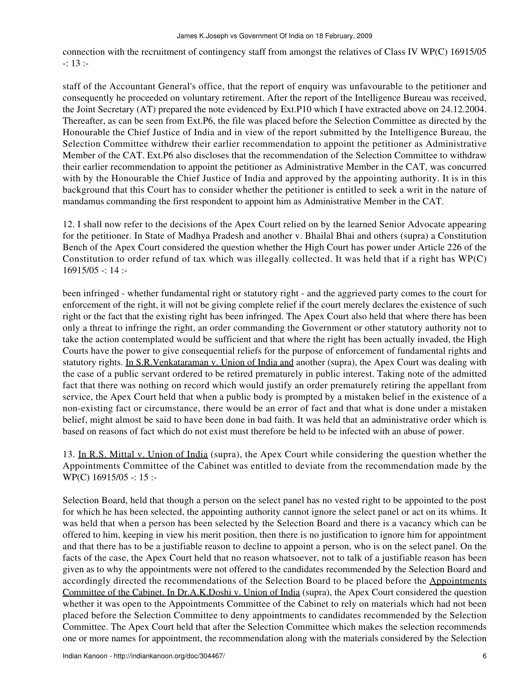connection with the recruitment of contingency staff from amongst the relatives of Class IV WP(C) 16915/05 -: 13 :-

staff of the Accountant General's office, that the report of enquiry was unfavourable to the petitioner and consequently he proceeded on voluntary retirement. After the report of the Intelligence Bureau was received, the Joint Secretary (AT) prepared the note evidenced by Ext.P10 which I have extracted above on 24.12.2004. Thereafter, as can be seen from Ext.P6, the file was placed before the Selection Committee as directed by the Honourable the Chief Justice of India and in view of the report submitted by the Intelligence Bureau, the Selection Committee withdrew their earlier recommendation to appoint the petitioner as Administrative Member of the CAT. Ext.P6 also discloses that the recommendation of the Selection Committee to withdraw their earlier recommendation to appoint the petitioner as Administrative Member in the CAT, was concurred with by the Honourable the Chief Justice of India and approved by the appointing authority. It is in this background that this Court has to consider whether the petitioner is entitled to seek a writ in the nature of mandamus commanding the first respondent to appoint him as Administrative Member in the CAT.

12. I shall now refer to the decisions of the Apex Court relied on by the learned Senior Advocate appearing for the petitioner. In State of Madhya Pradesh and another v. Bhailal Bhai and others (supra) a Constitution Bench of the Apex Court considered the question whether the High Court has power under Article 226 of the Constitution to order refund of tax which was illegally collected. It was held that if a right has WP(C)  $16915/05 - 14$ :

been infringed - whether fundamental right or statutory right - and the aggrieved party comes to the court for enforcement of the right, it will not be giving complete relief if the court merely declares the existence of such right or the fact that the existing right has been infringed. The Apex Court also held that where there has been only a threat to infringe the right, an order commanding the Government or other statutory authority not to take the action contemplated would be sufficient and that where the right has been actually invaded, the High Courts have the power to give consequential reliefs for the purpose of enforcement of fundamental rights and statutory rights. In S.R.Venkataraman v. Union of India and another (supra), the Apex Court was dealing with the case of a public servant ordered to be retired prematurely in public interest. Taking note of the admitted fact that there was nothing on record which would justify an order prematurely retiring the appellant from service, the Apex Court held that when a public body is prompted by a mistaken belief in the existence of a non-existing fact or circumstance, there would be an error of fact and that what is done under a mistaken belief, might almost be said to have been done in bad faith. It was held that an administrative order which is based on reasons of fact which do not exist must therefore be held to be infected with an abuse of power.

13. In R.S. Mittal v. Union of India (supra), the Apex Court while considering the question whether the Appointments Committee of the Cabinet was entitled to deviate from the recommendation made by the WP(C) 16915/05 -: 15 :-

Selection Board, held that though a person on the select panel has no vested right to be appointed to the post for which he has been selected, the appointing authority cannot ignore the select panel or act on its whims. It was held that when a person has been selected by the Selection Board and there is a vacancy which can be offered to him, keeping in view his merit position, then there is no justification to ignore him for appointment and that there has to be a justifiable reason to decline to appoint a person, who is on the select panel. On the facts of the case, the Apex Court held that no reason whatsoever, not to talk of a justifiable reason has been given as to why the appointments were not offered to the candidates recommended by the Selection Board and accordingly directed the recommendations of the Selection Board to be placed before the Appointments Committee of the Cabinet. In Dr.A.K.Doshi v. Union of India (supra), the Apex Court considered the question whether it was open to the Appointments Committee of the Cabinet to rely on materials which had not been placed before the Selection Committee to deny appointments to candidates recommended by the Selection Committee. The Apex Court held that after the Selection Committee which makes the selection recommends one or more names for appointment, the recommendation along with the materials considered by the Selection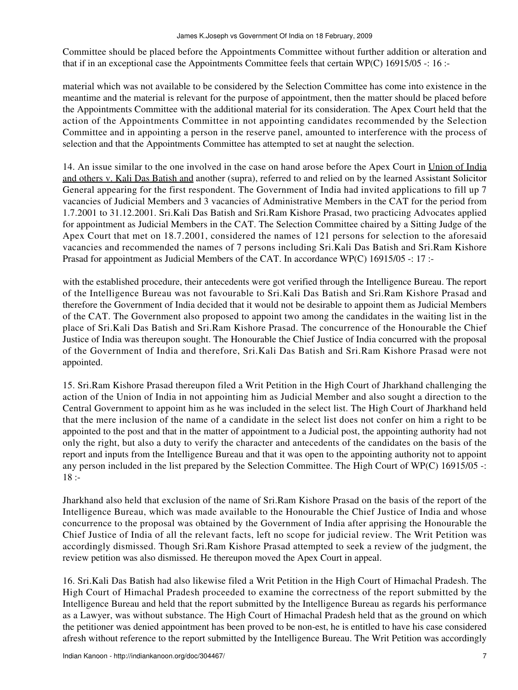Committee should be placed before the Appointments Committee without further addition or alteration and that if in an exceptional case the Appointments Committee feels that certain WP(C) 16915/05 -: 16 :-

material which was not available to be considered by the Selection Committee has come into existence in the meantime and the material is relevant for the purpose of appointment, then the matter should be placed before the Appointments Committee with the additional material for its consideration. The Apex Court held that the action of the Appointments Committee in not appointing candidates recommended by the Selection Committee and in appointing a person in the reserve panel, amounted to interference with the process of selection and that the Appointments Committee has attempted to set at naught the selection.

14. An issue similar to the one involved in the case on hand arose before the Apex Court in Union of India and others v. Kali Das Batish and another (supra), referred to and relied on by the learned Assistant Solicitor General appearing for the first respondent. The Government of India had invited applications to fill up 7 vacancies of Judicial Members and 3 vacancies of Administrative Members in the CAT for the period from 1.7.2001 to 31.12.2001. Sri.Kali Das Batish and Sri.Ram Kishore Prasad, two practicing Advocates applied for appointment as Judicial Members in the CAT. The Selection Committee chaired by a Sitting Judge of the Apex Court that met on 18.7.2001, considered the names of 121 persons for selection to the aforesaid vacancies and recommended the names of 7 persons including Sri.Kali Das Batish and Sri.Ram Kishore Prasad for appointment as Judicial Members of the CAT. In accordance WP(C) 16915/05 -: 17 :-

with the established procedure, their antecedents were got verified through the Intelligence Bureau. The report of the Intelligence Bureau was not favourable to Sri.Kali Das Batish and Sri.Ram Kishore Prasad and therefore the Government of India decided that it would not be desirable to appoint them as Judicial Members of the CAT. The Government also proposed to appoint two among the candidates in the waiting list in the place of Sri.Kali Das Batish and Sri.Ram Kishore Prasad. The concurrence of the Honourable the Chief Justice of India was thereupon sought. The Honourable the Chief Justice of India concurred with the proposal of the Government of India and therefore, Sri.Kali Das Batish and Sri.Ram Kishore Prasad were not appointed.

15. Sri.Ram Kishore Prasad thereupon filed a Writ Petition in the High Court of Jharkhand challenging the action of the Union of India in not appointing him as Judicial Member and also sought a direction to the Central Government to appoint him as he was included in the select list. The High Court of Jharkhand held that the mere inclusion of the name of a candidate in the select list does not confer on him a right to be appointed to the post and that in the matter of appointment to a Judicial post, the appointing authority had not only the right, but also a duty to verify the character and antecedents of the candidates on the basis of the report and inputs from the Intelligence Bureau and that it was open to the appointing authority not to appoint any person included in the list prepared by the Selection Committee. The High Court of WP(C) 16915/05 -:  $18: -$ 

Jharkhand also held that exclusion of the name of Sri.Ram Kishore Prasad on the basis of the report of the Intelligence Bureau, which was made available to the Honourable the Chief Justice of India and whose concurrence to the proposal was obtained by the Government of India after apprising the Honourable the Chief Justice of India of all the relevant facts, left no scope for judicial review. The Writ Petition was accordingly dismissed. Though Sri.Ram Kishore Prasad attempted to seek a review of the judgment, the review petition was also dismissed. He thereupon moved the Apex Court in appeal.

16. Sri.Kali Das Batish had also likewise filed a Writ Petition in the High Court of Himachal Pradesh. The High Court of Himachal Pradesh proceeded to examine the correctness of the report submitted by the Intelligence Bureau and held that the report submitted by the Intelligence Bureau as regards his performance as a Lawyer, was without substance. The High Court of Himachal Pradesh held that as the ground on which the petitioner was denied appointment has been proved to be non-est, he is entitled to have his case considered afresh without reference to the report submitted by the Intelligence Bureau. The Writ Petition was accordingly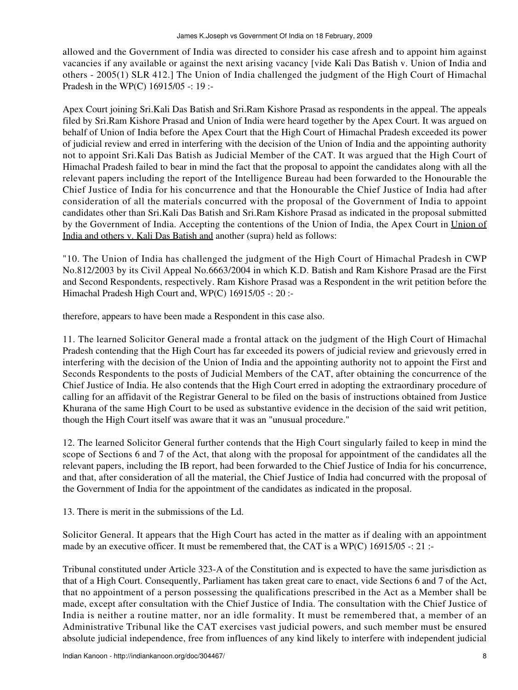allowed and the Government of India was directed to consider his case afresh and to appoint him against vacancies if any available or against the next arising vacancy [vide Kali Das Batish v. Union of India and others - 2005(1) SLR 412.] The Union of India challenged the judgment of the High Court of Himachal Pradesh in the WP(C) 16915/05 -: 19 :-

Apex Court joining Sri.Kali Das Batish and Sri.Ram Kishore Prasad as respondents in the appeal. The appeals filed by Sri.Ram Kishore Prasad and Union of India were heard together by the Apex Court. It was argued on behalf of Union of India before the Apex Court that the High Court of Himachal Pradesh exceeded its power of judicial review and erred in interfering with the decision of the Union of India and the appointing authority not to appoint Sri.Kali Das Batish as Judicial Member of the CAT. It was argued that the High Court of Himachal Pradesh failed to bear in mind the fact that the proposal to appoint the candidates along with all the relevant papers including the report of the Intelligence Bureau had been forwarded to the Honourable the Chief Justice of India for his concurrence and that the Honourable the Chief Justice of India had after consideration of all the materials concurred with the proposal of the Government of India to appoint candidates other than Sri.Kali Das Batish and Sri.Ram Kishore Prasad as indicated in the proposal submitted by the Government of India. Accepting the contentions of the Union of India, the Apex Court in Union of India and others v. Kali Das Batish and another (supra) held as follows:

"10. The Union of India has challenged the judgment of the High Court of Himachal Pradesh in CWP No.812/2003 by its Civil Appeal No.6663/2004 in which K.D. Batish and Ram Kishore Prasad are the First and Second Respondents, respectively. Ram Kishore Prasad was a Respondent in the writ petition before the Himachal Pradesh High Court and, WP(C) 16915/05 -: 20 :-

therefore, appears to have been made a Respondent in this case also.

11. The learned Solicitor General made a frontal attack on the judgment of the High Court of Himachal Pradesh contending that the High Court has far exceeded its powers of judicial review and grievously erred in interfering with the decision of the Union of India and the appointing authority not to appoint the First and Seconds Respondents to the posts of Judicial Members of the CAT, after obtaining the concurrence of the Chief Justice of India. He also contends that the High Court erred in adopting the extraordinary procedure of calling for an affidavit of the Registrar General to be filed on the basis of instructions obtained from Justice Khurana of the same High Court to be used as substantive evidence in the decision of the said writ petition, though the High Court itself was aware that it was an "unusual procedure."

12. The learned Solicitor General further contends that the High Court singularly failed to keep in mind the scope of Sections 6 and 7 of the Act, that along with the proposal for appointment of the candidates all the relevant papers, including the IB report, had been forwarded to the Chief Justice of India for his concurrence, and that, after consideration of all the material, the Chief Justice of India had concurred with the proposal of the Government of India for the appointment of the candidates as indicated in the proposal.

13. There is merit in the submissions of the Ld.

Solicitor General. It appears that the High Court has acted in the matter as if dealing with an appointment made by an executive officer. It must be remembered that, the CAT is a WP(C) 16915/05 -: 21 :-

Tribunal constituted under Article 323-A of the Constitution and is expected to have the same jurisdiction as that of a High Court. Consequently, Parliament has taken great care to enact, vide Sections 6 and 7 of the Act, that no appointment of a person possessing the qualifications prescribed in the Act as a Member shall be made, except after consultation with the Chief Justice of India. The consultation with the Chief Justice of India is neither a routine matter, nor an idle formality. It must be remembered that, a member of an Administrative Tribunal like the CAT exercises vast judicial powers, and such member must be ensured absolute judicial independence, free from influences of any kind likely to interfere with independent judicial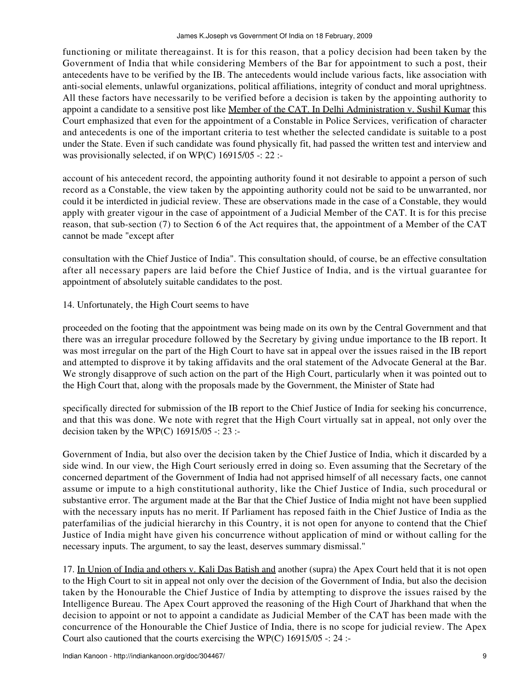functioning or militate thereagainst. It is for this reason, that a policy decision had been taken by the Government of India that while considering Members of the Bar for appointment to such a post, their antecedents have to be verified by the IB. The antecedents would include various facts, like association with anti-social elements, unlawful organizations, political affiliations, integrity of conduct and moral uprightness. All these factors have necessarily to be verified before a decision is taken by the appointing authority to appoint a candidate to a sensitive post like Member of the CAT. In Delhi Administration v. Sushil Kumar this Court emphasized that even for the appointment of a Constable in Police Services, verification of character and antecedents is one of the important criteria to test whether the selected candidate is suitable to a post under the State. Even if such candidate was found physically fit, had passed the written test and interview and was provisionally selected, if on WP(C) 16915/05 -: 22 :-

account of his antecedent record, the appointing authority found it not desirable to appoint a person of such record as a Constable, the view taken by the appointing authority could not be said to be unwarranted, nor could it be interdicted in judicial review. These are observations made in the case of a Constable, they would apply with greater vigour in the case of appointment of a Judicial Member of the CAT. It is for this precise reason, that sub-section (7) to Section 6 of the Act requires that, the appointment of a Member of the CAT cannot be made "except after

consultation with the Chief Justice of India". This consultation should, of course, be an effective consultation after all necessary papers are laid before the Chief Justice of India, and is the virtual guarantee for appointment of absolutely suitable candidates to the post.

## 14. Unfortunately, the High Court seems to have

proceeded on the footing that the appointment was being made on its own by the Central Government and that there was an irregular procedure followed by the Secretary by giving undue importance to the IB report. It was most irregular on the part of the High Court to have sat in appeal over the issues raised in the IB report and attempted to disprove it by taking affidavits and the oral statement of the Advocate General at the Bar. We strongly disapprove of such action on the part of the High Court, particularly when it was pointed out to the High Court that, along with the proposals made by the Government, the Minister of State had

specifically directed for submission of the IB report to the Chief Justice of India for seeking his concurrence, and that this was done. We note with regret that the High Court virtually sat in appeal, not only over the decision taken by the WP(C)  $16915/05$  -: 23 :-

Government of India, but also over the decision taken by the Chief Justice of India, which it discarded by a side wind. In our view, the High Court seriously erred in doing so. Even assuming that the Secretary of the concerned department of the Government of India had not apprised himself of all necessary facts, one cannot assume or impute to a high constitutional authority, like the Chief Justice of India, such procedural or substantive error. The argument made at the Bar that the Chief Justice of India might not have been supplied with the necessary inputs has no merit. If Parliament has reposed faith in the Chief Justice of India as the paterfamilias of the judicial hierarchy in this Country, it is not open for anyone to contend that the Chief Justice of India might have given his concurrence without application of mind or without calling for the necessary inputs. The argument, to say the least, deserves summary dismissal."

17. In Union of India and others v. Kali Das Batish and another (supra) the Apex Court held that it is not open to the High Court to sit in appeal not only over the decision of the Government of India, but also the decision taken by the Honourable the Chief Justice of India by attempting to disprove the issues raised by the Intelligence Bureau. The Apex Court approved the reasoning of the High Court of Jharkhand that when the decision to appoint or not to appoint a candidate as Judicial Member of the CAT has been made with the concurrence of the Honourable the Chief Justice of India, there is no scope for judicial review. The Apex Court also cautioned that the courts exercising the WP(C) 16915/05 -: 24 :-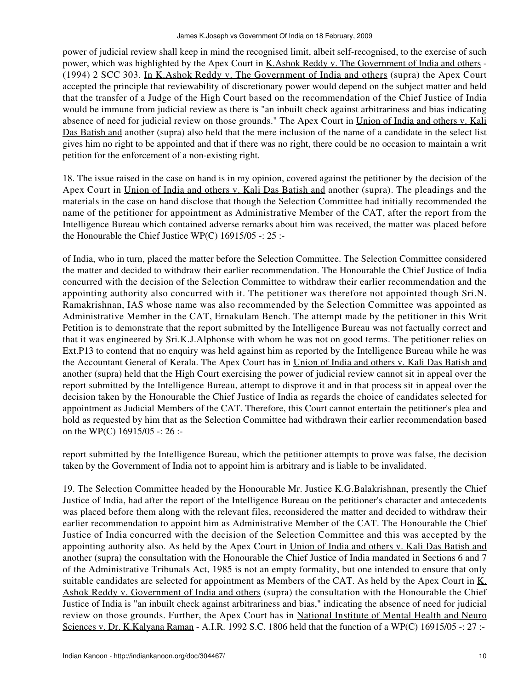power of judicial review shall keep in mind the recognised limit, albeit self-recognised, to the exercise of such power, which was highlighted by the Apex Court in K.Ashok Reddy v. The Government of India and others - (1994) 2 SCC 303. In K.Ashok Reddy v. The Government of India and others (supra) the Apex Court accepted the principle that reviewability of discretionary power would depend on the subject matter and held that the transfer of a Judge of the High Court based on the recommendation of the Chief Justice of India would be immune from judicial review as there is "an inbuilt check against arbitrariness and bias indicating absence of need for judicial review on those grounds." The Apex Court in Union of India and others v. Kali Das Batish and another (supra) also held that the mere inclusion of the name of a candidate in the select list gives him no right to be appointed and that if there was no right, there could be no occasion to maintain a writ petition for the enforcement of a non-existing right.

18. The issue raised in the case on hand is in my opinion, covered against the petitioner by the decision of the Apex Court in Union of India and others v. Kali Das Batish and another (supra). The pleadings and the materials in the case on hand disclose that though the Selection Committee had initially recommended the name of the petitioner for appointment as Administrative Member of the CAT, after the report from the Intelligence Bureau which contained adverse remarks about him was received, the matter was placed before the Honourable the Chief Justice WP(C) 16915/05 -: 25 :-

of India, who in turn, placed the matter before the Selection Committee. The Selection Committee considered the matter and decided to withdraw their earlier recommendation. The Honourable the Chief Justice of India concurred with the decision of the Selection Committee to withdraw their earlier recommendation and the appointing authority also concurred with it. The petitioner was therefore not appointed though Sri.N. Ramakrishnan, IAS whose name was also recommended by the Selection Committee was appointed as Administrative Member in the CAT, Ernakulam Bench. The attempt made by the petitioner in this Writ Petition is to demonstrate that the report submitted by the Intelligence Bureau was not factually correct and that it was engineered by Sri.K.J.Alphonse with whom he was not on good terms. The petitioner relies on Ext.P13 to contend that no enquiry was held against him as reported by the Intelligence Bureau while he was the Accountant General of Kerala. The Apex Court has in Union of India and others v. Kali Das Batish and another (supra) held that the High Court exercising the power of judicial review cannot sit in appeal over the report submitted by the Intelligence Bureau, attempt to disprove it and in that process sit in appeal over the decision taken by the Honourable the Chief Justice of India as regards the choice of candidates selected for appointment as Judicial Members of the CAT. Therefore, this Court cannot entertain the petitioner's plea and hold as requested by him that as the Selection Committee had withdrawn their earlier recommendation based on the WP(C) 16915/05 -: 26 :-

report submitted by the Intelligence Bureau, which the petitioner attempts to prove was false, the decision taken by the Government of India not to appoint him is arbitrary and is liable to be invalidated.

19. The Selection Committee headed by the Honourable Mr. Justice K.G.Balakrishnan, presently the Chief Justice of India, had after the report of the Intelligence Bureau on the petitioner's character and antecedents was placed before them along with the relevant files, reconsidered the matter and decided to withdraw their earlier recommendation to appoint him as Administrative Member of the CAT. The Honourable the Chief Justice of India concurred with the decision of the Selection Committee and this was accepted by the appointing authority also. As held by the Apex Court in Union of India and others v. Kali Das Batish and another (supra) the consultation with the Honourable the Chief Justice of India mandated in Sections 6 and 7 of the Administrative Tribunals Act, 1985 is not an empty formality, but one intended to ensure that only suitable candidates are selected for appointment as Members of the CAT. As held by the Apex Court in K. Ashok Reddy v. Government of India and others (supra) the consultation with the Honourable the Chief Justice of India is "an inbuilt check against arbitrariness and bias," indicating the absence of need for judicial review on those grounds. Further, the Apex Court has in National Institute of Mental Health and Neuro Sciences v. Dr. K.Kalyana Raman - A.I.R. 1992 S.C. 1806 held that the function of a WP(C) 16915/05 -: 27 :-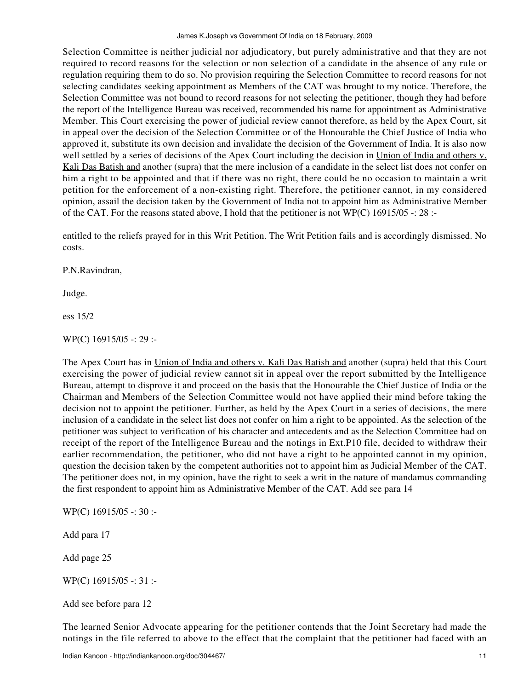Selection Committee is neither judicial nor adjudicatory, but purely administrative and that they are not required to record reasons for the selection or non selection of a candidate in the absence of any rule or regulation requiring them to do so. No provision requiring the Selection Committee to record reasons for not selecting candidates seeking appointment as Members of the CAT was brought to my notice. Therefore, the Selection Committee was not bound to record reasons for not selecting the petitioner, though they had before the report of the Intelligence Bureau was received, recommended his name for appointment as Administrative Member. This Court exercising the power of judicial review cannot therefore, as held by the Apex Court, sit in appeal over the decision of the Selection Committee or of the Honourable the Chief Justice of India who approved it, substitute its own decision and invalidate the decision of the Government of India. It is also now well settled by a series of decisions of the Apex Court including the decision in Union of India and others v. Kali Das Batish and another (supra) that the mere inclusion of a candidate in the select list does not confer on him a right to be appointed and that if there was no right, there could be no occasion to maintain a writ petition for the enforcement of a non-existing right. Therefore, the petitioner cannot, in my considered opinion, assail the decision taken by the Government of India not to appoint him as Administrative Member of the CAT. For the reasons stated above, I hold that the petitioner is not WP(C) 16915/05 -: 28 :-

entitled to the reliefs prayed for in this Writ Petition. The Writ Petition fails and is accordingly dismissed. No costs.

P.N.Ravindran,

Judge.

ess 15/2

WP(C) 16915/05 -: 29 :-

The Apex Court has in Union of India and others v. Kali Das Batish and another (supra) held that this Court exercising the power of judicial review cannot sit in appeal over the report submitted by the Intelligence Bureau, attempt to disprove it and proceed on the basis that the Honourable the Chief Justice of India or the Chairman and Members of the Selection Committee would not have applied their mind before taking the decision not to appoint the petitioner. Further, as held by the Apex Court in a series of decisions, the mere inclusion of a candidate in the select list does not confer on him a right to be appointed. As the selection of the petitioner was subject to verification of his character and antecedents and as the Selection Committee had on receipt of the report of the Intelligence Bureau and the notings in Ext.P10 file, decided to withdraw their earlier recommendation, the petitioner, who did not have a right to be appointed cannot in my opinion, question the decision taken by the competent authorities not to appoint him as Judicial Member of the CAT. The petitioner does not, in my opinion, have the right to seek a writ in the nature of mandamus commanding the first respondent to appoint him as Administrative Member of the CAT. Add see para 14

WP(C) 16915/05 -: 30 :-

Add para 17

Add page 25

WP(C) 16915/05 -: 31 :-

Add see before para 12

The learned Senior Advocate appearing for the petitioner contends that the Joint Secretary had made the notings in the file referred to above to the effect that the complaint that the petitioner had faced with an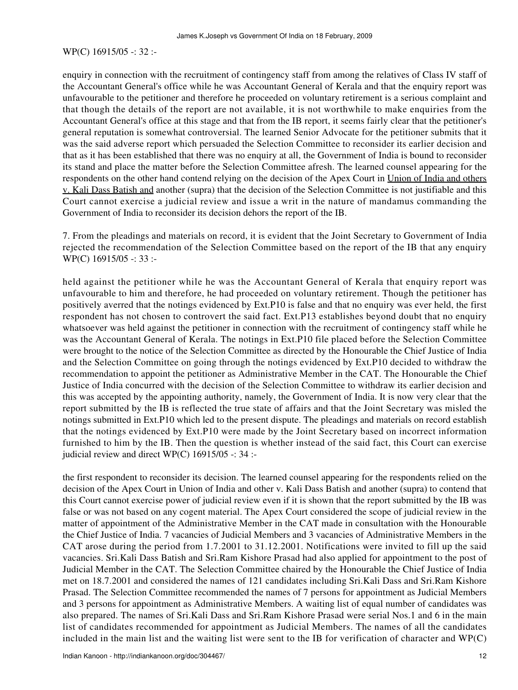## WP(C) 16915/05 -: 32 :-

enquiry in connection with the recruitment of contingency staff from among the relatives of Class IV staff of the Accountant General's office while he was Accountant General of Kerala and that the enquiry report was unfavourable to the petitioner and therefore he proceeded on voluntary retirement is a serious complaint and that though the details of the report are not available, it is not worthwhile to make enquiries from the Accountant General's office at this stage and that from the IB report, it seems fairly clear that the petitioner's general reputation is somewhat controversial. The learned Senior Advocate for the petitioner submits that it was the said adverse report which persuaded the Selection Committee to reconsider its earlier decision and that as it has been established that there was no enquiry at all, the Government of India is bound to reconsider its stand and place the matter before the Selection Committee afresh. The learned counsel appearing for the respondents on the other hand contend relying on the decision of the Apex Court in Union of India and others v. Kali Dass Batish and another (supra) that the decision of the Selection Committee is not justifiable and this Court cannot exercise a judicial review and issue a writ in the nature of mandamus commanding the Government of India to reconsider its decision dehors the report of the IB.

7. From the pleadings and materials on record, it is evident that the Joint Secretary to Government of India rejected the recommendation of the Selection Committee based on the report of the IB that any enquiry WP(C) 16915/05 -: 33 :-

held against the petitioner while he was the Accountant General of Kerala that enquiry report was unfavourable to him and therefore, he had proceeded on voluntary retirement. Though the petitioner has positively averred that the notings evidenced by Ext.P10 is false and that no enquiry was ever held, the first respondent has not chosen to controvert the said fact. Ext.P13 establishes beyond doubt that no enquiry whatsoever was held against the petitioner in connection with the recruitment of contingency staff while he was the Accountant General of Kerala. The notings in Ext.P10 file placed before the Selection Committee were brought to the notice of the Selection Committee as directed by the Honourable the Chief Justice of India and the Selection Committee on going through the notings evidenced by Ext.P10 decided to withdraw the recommendation to appoint the petitioner as Administrative Member in the CAT. The Honourable the Chief Justice of India concurred with the decision of the Selection Committee to withdraw its earlier decision and this was accepted by the appointing authority, namely, the Government of India. It is now very clear that the report submitted by the IB is reflected the true state of affairs and that the Joint Secretary was misled the notings submitted in Ext.P10 which led to the present dispute. The pleadings and materials on record establish that the notings evidenced by Ext.P10 were made by the Joint Secretary based on incorrect information furnished to him by the IB. Then the question is whether instead of the said fact, this Court can exercise judicial review and direct WP(C)  $16915/05$  -: 34 :-

the first respondent to reconsider its decision. The learned counsel appearing for the respondents relied on the decision of the Apex Court in Union of India and other v. Kali Dass Batish and another (supra) to contend that this Court cannot exercise power of judicial review even if it is shown that the report submitted by the IB was false or was not based on any cogent material. The Apex Court considered the scope of judicial review in the matter of appointment of the Administrative Member in the CAT made in consultation with the Honourable the Chief Justice of India. 7 vacancies of Judicial Members and 3 vacancies of Administrative Members in the CAT arose during the period from 1.7.2001 to 31.12.2001. Notifications were invited to fill up the said vacancies. Sri.Kali Dass Batish and Sri.Ram Kishore Prasad had also applied for appointment to the post of Judicial Member in the CAT. The Selection Committee chaired by the Honourable the Chief Justice of India met on 18.7.2001 and considered the names of 121 candidates including Sri.Kali Dass and Sri.Ram Kishore Prasad. The Selection Committee recommended the names of 7 persons for appointment as Judicial Members and 3 persons for appointment as Administrative Members. A waiting list of equal number of candidates was also prepared. The names of Sri.Kali Dass and Sri.Ram Kishore Prasad were serial Nos.1 and 6 in the main list of candidates recommended for appointment as Judicial Members. The names of all the candidates included in the main list and the waiting list were sent to the IB for verification of character and WP(C)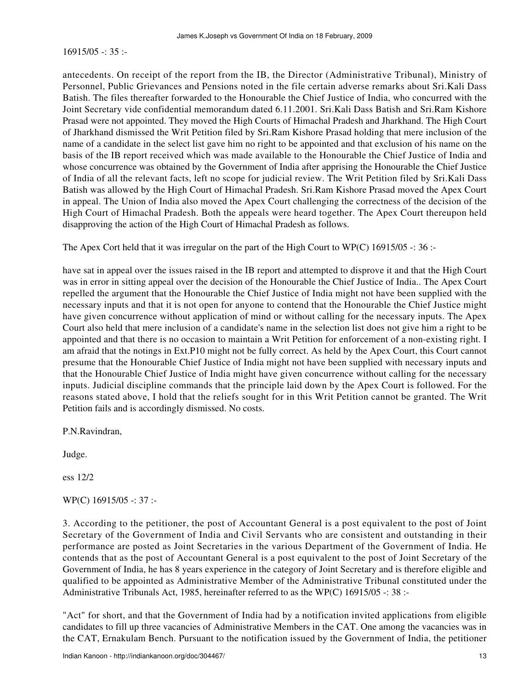$16915/05 - 35$ :

antecedents. On receipt of the report from the IB, the Director (Administrative Tribunal), Ministry of Personnel, Public Grievances and Pensions noted in the file certain adverse remarks about Sri.Kali Dass Batish. The files thereafter forwarded to the Honourable the Chief Justice of India, who concurred with the Joint Secretary vide confidential memorandum dated 6.11.2001. Sri.Kali Dass Batish and Sri.Ram Kishore Prasad were not appointed. They moved the High Courts of Himachal Pradesh and Jharkhand. The High Court of Jharkhand dismissed the Writ Petition filed by Sri.Ram Kishore Prasad holding that mere inclusion of the name of a candidate in the select list gave him no right to be appointed and that exclusion of his name on the basis of the IB report received which was made available to the Honourable the Chief Justice of India and whose concurrence was obtained by the Government of India after apprising the Honourable the Chief Justice of India of all the relevant facts, left no scope for judicial review. The Writ Petition filed by Sri.Kali Dass Batish was allowed by the High Court of Himachal Pradesh. Sri.Ram Kishore Prasad moved the Apex Court in appeal. The Union of India also moved the Apex Court challenging the correctness of the decision of the High Court of Himachal Pradesh. Both the appeals were heard together. The Apex Court thereupon held disapproving the action of the High Court of Himachal Pradesh as follows.

The Apex Cort held that it was irregular on the part of the High Court to WP(C) 16915/05 -: 36 :-

have sat in appeal over the issues raised in the IB report and attempted to disprove it and that the High Court was in error in sitting appeal over the decision of the Honourable the Chief Justice of India.. The Apex Court repelled the argument that the Honourable the Chief Justice of India might not have been supplied with the necessary inputs and that it is not open for anyone to contend that the Honourable the Chief Justice might have given concurrence without application of mind or without calling for the necessary inputs. The Apex Court also held that mere inclusion of a candidate's name in the selection list does not give him a right to be appointed and that there is no occasion to maintain a Writ Petition for enforcement of a non-existing right. I am afraid that the notings in Ext.P10 might not be fully correct. As held by the Apex Court, this Court cannot presume that the Honourable Chief Justice of India might not have been supplied with necessary inputs and that the Honourable Chief Justice of India might have given concurrence without calling for the necessary inputs. Judicial discipline commands that the principle laid down by the Apex Court is followed. For the reasons stated above, I hold that the reliefs sought for in this Writ Petition cannot be granted. The Writ Petition fails and is accordingly dismissed. No costs.

P.N.Ravindran,

Judge.

ess 12/2

WP(C) 16915/05 -: 37 :-

3. According to the petitioner, the post of Accountant General is a post equivalent to the post of Joint Secretary of the Government of India and Civil Servants who are consistent and outstanding in their performance are posted as Joint Secretaries in the various Department of the Government of India. He contends that as the post of Accountant General is a post equivalent to the post of Joint Secretary of the Government of India, he has 8 years experience in the category of Joint Secretary and is therefore eligible and qualified to be appointed as Administrative Member of the Administrative Tribunal constituted under the Administrative Tribunals Act, 1985, hereinafter referred to as the WP(C) 16915/05 -: 38 :-

"Act" for short, and that the Government of India had by a notification invited applications from eligible candidates to fill up three vacancies of Administrative Members in the CAT. One among the vacancies was in the CAT, Ernakulam Bench. Pursuant to the notification issued by the Government of India, the petitioner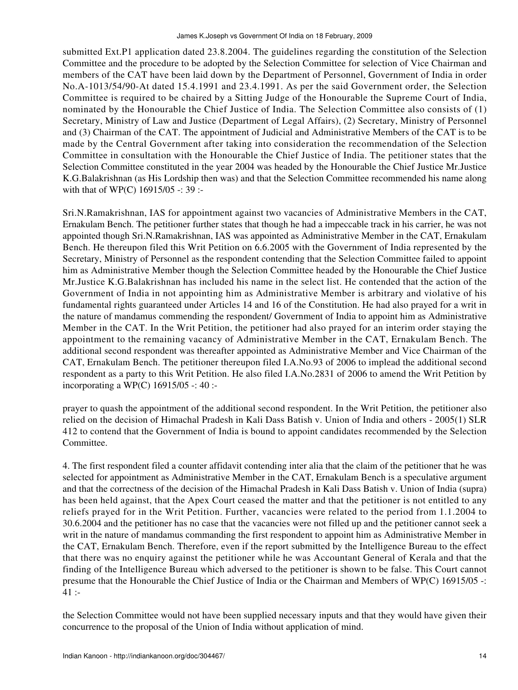submitted Ext.P1 application dated 23.8.2004. The guidelines regarding the constitution of the Selection Committee and the procedure to be adopted by the Selection Committee for selection of Vice Chairman and members of the CAT have been laid down by the Department of Personnel, Government of India in order No.A-1013/54/90-At dated 15.4.1991 and 23.4.1991. As per the said Government order, the Selection Committee is required to be chaired by a Sitting Judge of the Honourable the Supreme Court of India, nominated by the Honourable the Chief Justice of India. The Selection Committee also consists of (1) Secretary, Ministry of Law and Justice (Department of Legal Affairs), (2) Secretary, Ministry of Personnel and (3) Chairman of the CAT. The appointment of Judicial and Administrative Members of the CAT is to be made by the Central Government after taking into consideration the recommendation of the Selection Committee in consultation with the Honourable the Chief Justice of India. The petitioner states that the Selection Committee constituted in the year 2004 was headed by the Honourable the Chief Justice Mr.Justice K.G.Balakrishnan (as His Lordship then was) and that the Selection Committee recommended his name along with that of WP(C) 16915/05 -: 39 :-

Sri.N.Ramakrishnan, IAS for appointment against two vacancies of Administrative Members in the CAT, Ernakulam Bench. The petitioner further states that though he had a impeccable track in his carrier, he was not appointed though Sri.N.Ramakrishnan, IAS was appointed as Administrative Member in the CAT, Ernakulam Bench. He thereupon filed this Writ Petition on 6.6.2005 with the Government of India represented by the Secretary, Ministry of Personnel as the respondent contending that the Selection Committee failed to appoint him as Administrative Member though the Selection Committee headed by the Honourable the Chief Justice Mr.Justice K.G.Balakrishnan has included his name in the select list. He contended that the action of the Government of India in not appointing him as Administrative Member is arbitrary and violative of his fundamental rights guaranteed under Articles 14 and 16 of the Constitution. He had also prayed for a writ in the nature of mandamus commending the respondent/ Government of India to appoint him as Administrative Member in the CAT. In the Writ Petition, the petitioner had also prayed for an interim order staying the appointment to the remaining vacancy of Administrative Member in the CAT, Ernakulam Bench. The additional second respondent was thereafter appointed as Administrative Member and Vice Chairman of the CAT, Ernakulam Bench. The petitioner thereupon filed I.A.No.93 of 2006 to implead the additional second respondent as a party to this Writ Petition. He also filed I.A.No.2831 of 2006 to amend the Writ Petition by incorporating a WP(C) 16915/05 -: 40 :-

prayer to quash the appointment of the additional second respondent. In the Writ Petition, the petitioner also relied on the decision of Himachal Pradesh in Kali Dass Batish v. Union of India and others - 2005(1) SLR 412 to contend that the Government of India is bound to appoint candidates recommended by the Selection Committee.

4. The first respondent filed a counter affidavit contending inter alia that the claim of the petitioner that he was selected for appointment as Administrative Member in the CAT, Ernakulam Bench is a speculative argument and that the correctness of the decision of the Himachal Pradesh in Kali Dass Batish v. Union of India (supra) has been held against, that the Apex Court ceased the matter and that the petitioner is not entitled to any reliefs prayed for in the Writ Petition. Further, vacancies were related to the period from 1.1.2004 to 30.6.2004 and the petitioner has no case that the vacancies were not filled up and the petitioner cannot seek a writ in the nature of mandamus commanding the first respondent to appoint him as Administrative Member in the CAT, Ernakulam Bench. Therefore, even if the report submitted by the Intelligence Bureau to the effect that there was no enquiry against the petitioner while he was Accountant General of Kerala and that the finding of the Intelligence Bureau which adversed to the petitioner is shown to be false. This Court cannot presume that the Honourable the Chief Justice of India or the Chairman and Members of WP(C) 16915/05 -:  $41:$ 

the Selection Committee would not have been supplied necessary inputs and that they would have given their concurrence to the proposal of the Union of India without application of mind.